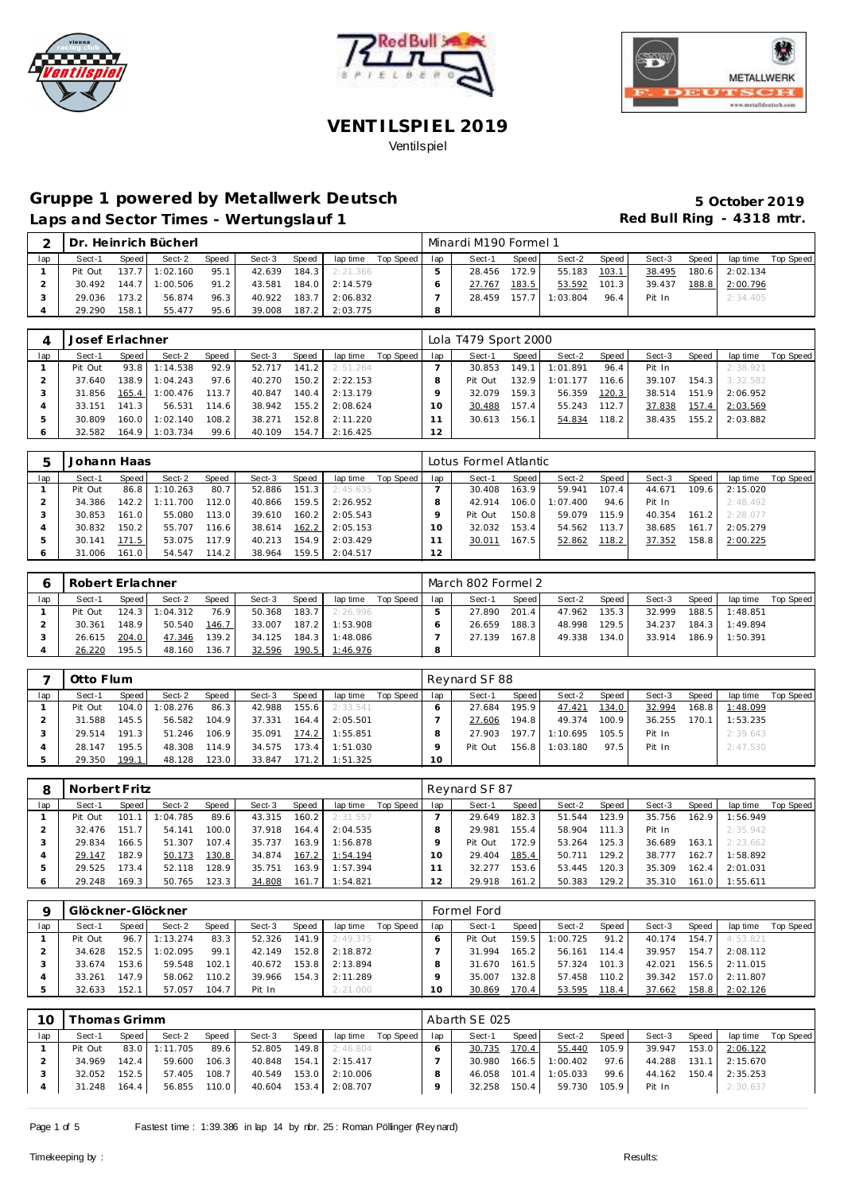





# Gruppe 1 powered by Metallwerk Deutsch **1988 5 October 2019** Laps and Sector Times - Wertungslauf 1 **Example 20 and Sector Times - Wertungslauf 1 Red Bull Ring - 4318 mtr.**

| $\overline{\phantom{0}}$ | Dr      |       | . Heinrich Bücherl |              |        |       |                  |           |     | Minardi M190 Formel 1 |         |          |       |        |       |          |           |
|--------------------------|---------|-------|--------------------|--------------|--------|-------|------------------|-----------|-----|-----------------------|---------|----------|-------|--------|-------|----------|-----------|
| lap                      | Sect-1  | Speed | Sect-2             | <b>Speed</b> | Sect-3 | Speed | lap time         | Top Speed | lap | Sect-1                | Speed I | Sect-2   | Speed | Sect-3 | Speed | lap time | Top Speed |
|                          | Pit Out | 137.7 | 1:02.160           | 95.1         | 42.639 |       | $184.3$ 2:21.366 |           |     | 28.456                | 172.9   | 55.183   | 103.1 | 38.495 | 180.6 | 2:02.134 |           |
|                          | 30.492  | 144.7 | 1:00.506           | 91.2         | 43.581 |       | 184.0 2:14.579   |           |     | 27.767                | 183.5   | 53.592   | 101.3 | 39.437 | 188.8 | 2:00.796 |           |
|                          | 29.036  | 173.2 | 56.874             | 96.31        | 40.922 | 183.7 | 2:06.832         |           |     | 28.459                | 157.7   | 1:03.804 | 96.4  | Pit In |       | 2:34.405 |           |
|                          | 29.290  | 158.1 | 55.477             | 95.6         | 39.008 | 187.2 | 2:03.775         |           |     |                       |         |          |       |        |       |          |           |

|     | Josef Erlachner |       |          |       |        |       |          |           |     | Lola T479 Sport 2000 |       |          |       |        |       |          |           |
|-----|-----------------|-------|----------|-------|--------|-------|----------|-----------|-----|----------------------|-------|----------|-------|--------|-------|----------|-----------|
| lap | Sect-1          | Speed | Sect-2   | Speed | Sect-3 | Speed | lap time | Top Speed | lap | Sect-1               | Speed | Sect-2   | Speed | Sect-3 | Speed | lap time | Top Speed |
|     | Pit Out         | 93.8  | 1:14.538 | 92.9  | 52.717 | 141.2 | 2:51.264 |           |     | 30.853               | 149.1 | 1:01.891 | 96.4  | Pit In |       | 2:38.921 |           |
|     | 37.640          | 138.9 | : 04.243 | 97.6  | 40.270 | 150.2 | 2:22.153 |           |     | Pit Out              | 132.9 | 1:01.177 | 116.6 | 39.107 | 154.3 | 3:32.582 |           |
|     | 31.856          | 165.4 | : 00.476 | 113.7 | 40.847 | 140.4 | 2:13.179 |           |     | 32.079               | 159.3 | 56.359   | 120.3 | 38.514 | 151.9 | 2:06.952 |           |
|     | 33.151          | 141.3 | 56.531   | 114.6 | 38.942 | 155.2 | 2:08.624 |           |     | 30.488               | 157.4 | 55.243   | 112.7 | 37.838 | 157.4 | 2:03.569 |           |
|     | 30.809          | 160.0 | : 02.140 | 108.2 | 38.271 | 152.8 | 2:11.220 |           |     | 30.613               | 156.1 | 54.834   | 118.2 | 38.435 | 155.2 | 2:03.882 |           |
| O   | 32.582          | 164.9 | 1:03.734 | 99.6  | 40.109 | 154.7 | 2:16.425 |           | 12  |                      |       |          |       |        |       |          |           |

| 5       | Johann Haas |        |          |       |        |       |          |           |     | Lotus Formel Atlantic |       |          |       |        |       |          |           |
|---------|-------------|--------|----------|-------|--------|-------|----------|-----------|-----|-----------------------|-------|----------|-------|--------|-------|----------|-----------|
| lap     | Sect-1      | Speed  | Sect-2   | Speed | Sect-3 | Speed | lap time | Top Speed | lap | Sect-1                | Speed | Sect-2   | Speed | Sect-3 | Speed | lap time | Top Speed |
|         | Pit Out     | 86.8   | :10.263  | 80.7  | 52.886 | 151.3 | 2:45.635 |           |     | 30.408                | 163.9 | 59.941   | 107.4 | 44.671 | 109.6 | 2:15.020 |           |
|         | 34.386      | 142.2  | 1:11.700 | 112.0 | 40.866 | 159.5 | 2:26.952 |           |     | 42.914                | 106.0 | 1:07.400 | 94.6  | Pit In |       | 2:48.492 |           |
|         | 30.853      | 161.01 | 55.080   | 113.0 | 39.610 | 160.2 | 2:05.543 |           |     | Pit Out               | 150.8 | 59.079   | 115.9 | 40.354 | 161.2 | 2:28.077 |           |
|         | 30.832      | 150.2  | 55.707   | 116.6 | 38.614 | 162.2 | 2:05.153 |           | 10  | 32.032                | 153.4 | 54.562   | 113.7 | 38.685 | 161.7 | 2:05.279 |           |
|         | 30.141      | 171.5  | 53.075   | 117.9 | 40.213 | 154.9 | 2:03.429 |           |     | 30.011                | 167.5 | 52.862   | 118.2 | 37.352 | 158.8 | 2:00.225 |           |
| $\circ$ | 31.006      | 161.0  | 54.547   | 114.2 | 38.964 | 159.5 | 2:04.517 |           | 12  |                       |       |          |       |        |       |          |           |

|     | Robert Erlachner |         |                  |       |        |       |          |           |     | March 802 Formel 2 |       |        |       |        |       |          |           |
|-----|------------------|---------|------------------|-------|--------|-------|----------|-----------|-----|--------------------|-------|--------|-------|--------|-------|----------|-----------|
| lap | Sect-1           | Speed I | Sect-2           | Speed | Sect-3 | Speed | lap time | Top Speed | lap | Sect-1             | Speed | Sect-2 | Speed | Sect-3 | Speed | lap time | Top Speed |
|     | Pit Out          |         | $124.3$ 1:04.312 | 76.9  | 50.368 | 183.7 | 2:26.996 |           |     | 27.890             | 201.4 | 47.962 | 135.3 | 32.999 | 188.5 | 1:48.851 |           |
|     | 30.361           | 148.91  | 50.540           | 146.7 | 33.007 | 187.2 | 1:53.908 |           |     | 26.659             | 188.3 | 48.998 | 129.5 | 34.237 | 184.3 | 1:49.894 |           |
|     | 26.615           | 204.0   | 47.346           | 139.2 | 34.125 | 184.3 | 1:48.086 |           |     | 27.139             | 167.8 | 49.338 | 134.0 | 33.914 | 186.9 | 1:50.391 |           |
|     | 26.220           | 195.5   | 48.160           | 136.7 | 32.596 | 190.5 | 1:46.976 |           |     |                    |       |        |       |        |       |          |           |

|     | Otto Flum |         |          |       |        |                    |          |           |                 | Reynard SF 88 |         |          |       |        |                    |          |           |
|-----|-----------|---------|----------|-------|--------|--------------------|----------|-----------|-----------------|---------------|---------|----------|-------|--------|--------------------|----------|-----------|
| lap | Sect-1    | Speed I | Sect-2   | Speed | Sect-3 | Speed              | lap time | Top Speed | lap             | Sect-1        | Speed ! | Sect-2   | Speed | Sect-3 | Speed              | lap time | Top Speed |
|     | Pit Out   | 104.0   | : 08.276 | 86.3  | 42.988 | 155.6              | 2:33.541 |           |                 | 27.684        | 195.9   | 47.421   | 134.0 | 32.994 | 168.8 <sub>1</sub> | 1:48.099 |           |
|     | 31.588    | 145.5   | 56.582   | 104.9 | 37.331 | 164.4 <sub>1</sub> | 2:05.501 |           |                 | 27.606        | 194.8   | 49.374   | 100.9 | 36.255 | 170.1              | 1:53.235 |           |
|     | 29.514    | 191.3   | 51.246   | 106.9 | 35.091 | 174.2              | 1:55.851 |           |                 | 27.903        | 197.    | 1:10.695 | 105.5 | Pit In |                    | 2:39.643 |           |
|     | 28.147    | 195.5   | 48.308   | 114.9 | 34.575 | 173.4              | 1:51.030 |           |                 | Pit Out       | 156.8   | 1:03.180 | 97.5  | Pit In |                    | 2:47.530 |           |
|     | 29.350    | 199.1   | 48.128   | 123.0 | 33.847 | 171.2              | 1:51.325 |           | 10 <sup>1</sup> |               |         |          |       |        |                    |          |           |

|         | Norbert Fritz |       |          |       |        |         |          |           |     | Reynard SF 87 |       |        |                    |        |       |          |           |
|---------|---------------|-------|----------|-------|--------|---------|----------|-----------|-----|---------------|-------|--------|--------------------|--------|-------|----------|-----------|
| lap     | Sect-1        | Speed | Sect-2   | Speed | Sect-3 | Speed   | lap time | Top Speed | lap | Sect-1        | Speed | Sect-2 | Speed              | Sect-3 | Speed | lap time | Top Speed |
|         | Pit Out       | 101.  | : 04.785 | 89.6  | 43.315 | 160.2   | 2:31.557 |           |     | 29.649        | 182.3 | 51.544 | 123.9              | 35.756 | 162.9 | 1:56.949 |           |
|         | 32.476        | 151.  | 54.141   | 100.0 | 37.918 | 164.4   | 2:04.535 |           |     | 29.981        | 155.4 | 58.904 | 111.3              | Pit In |       | 2:35.942 |           |
|         | 29.834        | 166.5 | 51.307   | 107.4 | 35.737 | 163.9   | 1:56.878 |           |     | Pit Out       | 172.9 | 53.264 | 125.3 <sub>1</sub> | 36.689 | 163.1 | 2:23.662 |           |
|         | 29.147        | 182.9 | 50.173   | 130.8 | 34.874 | 167.2   | 1:54.194 |           | 10  | 29.404        | 185.4 | 50.711 | 129.2              | 38.777 | 162.7 | 1:58.892 |           |
|         | 29.525        | 73.4  | 52.118   | 128.9 | 35.751 | 163.9 I | 1:57.394 |           |     | 32.277        | 153.6 | 53.445 | 120.3              | 35.309 | 162.4 | 2:01.031 |           |
| $\circ$ | 29.248        | 169.3 | 50.765   | 123.3 | 34.808 | 161.7   | 1:54.821 |           |     | 29.918        | 161.2 | 50.383 | 129.2              | 35.310 | 161.0 | 1:55.611 |           |

|     | Glöckner-Glöckner |         |          |       |        |       |          |           |     | Formel Ford |         |          |       |        |       |          |           |
|-----|-------------------|---------|----------|-------|--------|-------|----------|-----------|-----|-------------|---------|----------|-------|--------|-------|----------|-----------|
| lap | Sect-1            | Speed I | Sect-2   | Speed | Sect-3 | Speed | lap time | Top Speed | lap | Sect-1      | Speed I | Sect-2   | Speed | Sect-3 | Speed | lap time | Top Speed |
|     | Pit Out           | 96.7    | 1:13.274 | 83.3  | 52.326 | 141.9 | 2:49.375 |           |     | Pit Out     | 159.5   | 1:00.725 | 91.2  | 40.174 | 154.7 | 4:53.821 |           |
|     | 34.628            | 152.5   | 1:02.095 | 99.1  | 42.149 | 152.8 | 2:18.872 |           |     | 31.994      | 165.2   | 56.161   | 114.4 | 39.957 | 154.7 | 2:08.112 |           |
|     | 33.674            | 153.6   | 59.548   | 102.1 | 40.672 | 153.8 | 2:13.894 |           |     | 31.670      | 161.5   | 57.324   | 101.3 | 42.021 | 156.5 | 2:11.015 |           |
|     | 33.261            | 147.9   | 58.062   | 110.2 | 39.966 | 154.3 | 2:11.289 |           |     | 35.007      | 132.81  | 57.458   | 110.2 | 39.342 | 157.0 | 2:11.807 |           |
|     | 32.633            | 152.1   | 57.057   | 104.7 | Pit In |       | 2:21.000 |           | . O | 30.869      | 170.4   | 53.595   | 118.4 | 37.662 | 158.8 | 2:02.126 |           |

| 10  | Thomas Grimm |       |          |       |        |       |          |           |     | Abarth SE 025 |       |          |       |        |       |                  |           |
|-----|--------------|-------|----------|-------|--------|-------|----------|-----------|-----|---------------|-------|----------|-------|--------|-------|------------------|-----------|
| lap | Sect-1       | Speed | Sect-2   | Speed | Sect-3 | Speed | lap time | Top Speed | lap | Sect-1        | Speed | Sect-2   | Speed | Sect-3 | Speed | lap time         | Top Speed |
|     | Pit Out      | 83.0  | 1:11.705 | 89.6  | 52.805 | 149.8 | 2:46.804 |           |     | 30.735        | 170.4 | 55.440   | 105.9 | 39.947 | 153.0 | 2:06.122         |           |
|     | 34.969       | 142.4 | 59.600   | 106.3 | 40.848 | 154.1 | 2:15.417 |           |     | 30.980        | 166.5 | 1:00.402 | 97.6  | 44.288 |       | $131.1$ 2:15.670 |           |
|     | 32.052       | 152.5 | 57.405   | 108.7 | 40.549 | 153.0 | 2:10.006 |           |     | 46.058        | 101.4 | 1:05.033 | 99.6  | 44.162 | 150.4 | 2:35.253         |           |
|     | 31.248       | 164.4 | 56.855   | 110.0 | 40.604 | 153.4 | 2:08.707 |           |     | 32.258        | 150.4 | 59.730   | 105.9 | Pit In |       | 2:30.637         |           |
|     |              |       |          |       |        |       |          |           |     |               |       |          |       |        |       |                  |           |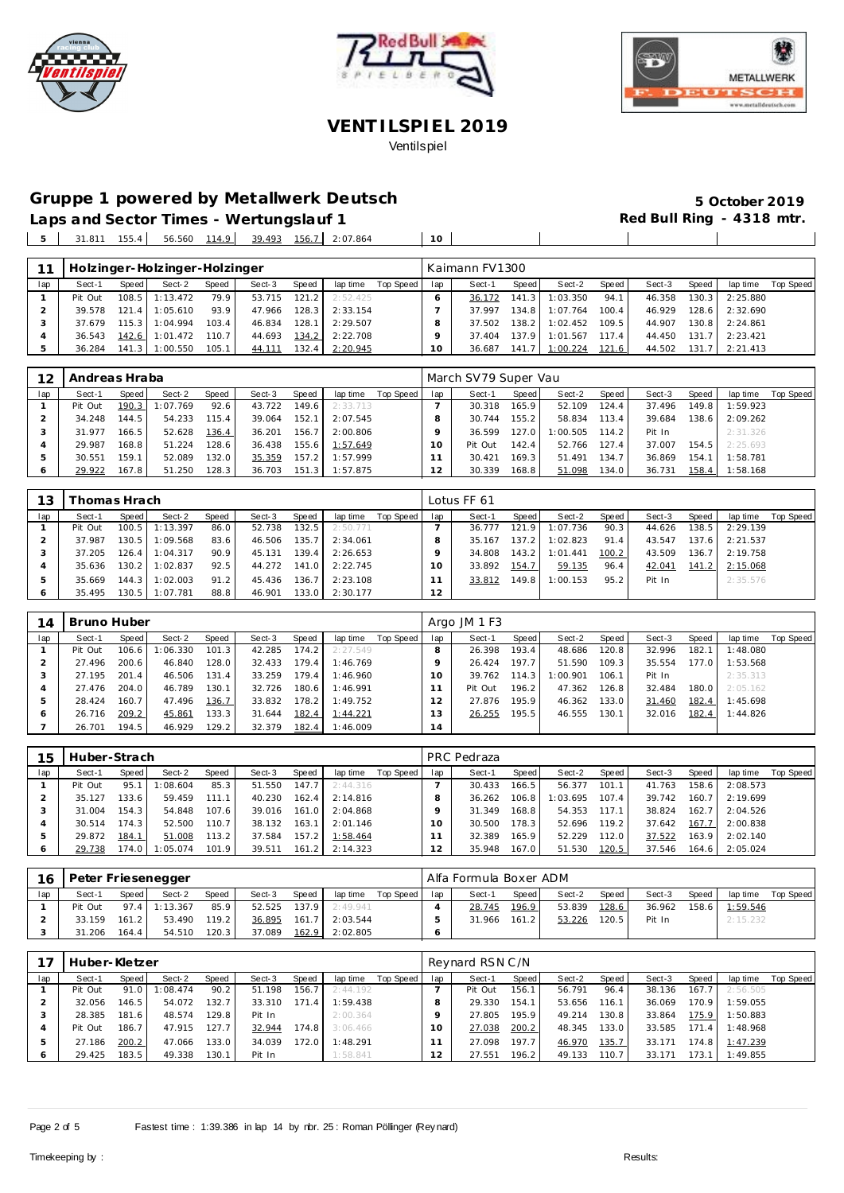





# **VENT ILSPIEL 2019**

# Ventilspiel

# Gruppe 1 powered by Metallwerk Deutsch **5 October 2019** 5 October 2019

Laps and Sector Times - Wertungslauf 1 **Example 20 and Sector Times - Wertungslauf 1 Red Bull Ring - 4318 mtr.**  $\blacksquare$ 

 $\blacksquare$ 

31.811 155.4 56.560 114.9 39.493 156.7 2:07.864 **10**

|     |         |       | Holzinger-Holzinger-Holzinger |       |        |       |          |           |     | Kaimann FV1300 |       |          |       |        |       |                    |           |
|-----|---------|-------|-------------------------------|-------|--------|-------|----------|-----------|-----|----------------|-------|----------|-------|--------|-------|--------------------|-----------|
| lap | Sect-1  | Speed | Sect-2                        | Speed | Sect-3 | Speed | lap time | Top Speed | lap | Sect-1         | Speed | Sect-2   | Speed | Sect-3 | Speed | lap time           | Top Speed |
|     | Pit Out | 108.5 | 1:13.472                      | 79.9  | 53.715 | 121.2 | 2:52.425 |           |     | 36.172         | 141.3 | 1:03.350 | 94.1  | 46.358 |       | 130.3 2:25.880     |           |
|     | 39.578  | 121.4 | : 05.610                      | 93.9  | 47.966 | 128.3 | 2:33.154 |           |     | 37.997         | 134.8 | 1:07.764 | 100.4 | 46.929 |       | $128.6$ $2:32.690$ |           |
|     | 37.679  | 115.3 | 1:04.994                      | 103.4 | 46.834 | 128.1 | 2:29.507 |           |     | 37.502         | 138.2 | 1:02.452 | 109.5 | 44.907 |       | 130.8 2:24.861     |           |
|     | 36.543  | 142.6 | 1:01.472                      | 110.7 | 44.693 | 134.2 | 2:22.708 |           |     | 37.404         | 137.9 | 1:01.567 | 117.4 | 44.450 | 131.7 | 2:23.421           |           |
|     | 36.284  |       | 141.3 1:00.550                | 105.1 | 44.111 | 132.4 | 2:20.945 |           |     | 36.687         | 141.7 | 1:00.224 | 121.6 | 44.502 |       | $131.7$ 2:21.413   |           |

| 12  | Andreas Hraba |        |          |       |        |       |          |           |          | March SV79 Super Vau |                    |          |       |        |        |          |           |
|-----|---------------|--------|----------|-------|--------|-------|----------|-----------|----------|----------------------|--------------------|----------|-------|--------|--------|----------|-----------|
| lap | Sect-1        | Speed  | Sect-2   | Speed | Sect-3 | Speed | lap time | Top Speed | lap      | Sect-1               | Speed              | Sect-2   | Speed | Sect-3 | Speed  | lap time | Top Speed |
|     | Pit Out       | 190.3  | 1:07.769 | 92.6  | 43.722 | 149.6 | 2:33.713 |           |          | 30.318               | 165.9              | 52.109   | 124.4 | 37.496 | 149.81 | 1:59.923 |           |
|     | 34.248        | 144.5  | 54.233   | 115.4 | 39.064 | 152.1 | 2:07.545 |           |          | 30.744               | 155.21             | 58.834   | 113.4 | 39.684 | 138.6  | 2:09.262 |           |
|     | 31.977        | 166.5  | 52.628   | 136.4 | 36.201 | 156.7 | 2:00.806 |           |          | 36.599               | 127.0              | 1:00.505 | 114.2 | Pit In |        | 2:31.326 |           |
|     | 29.987        | 168.8  | 51.224   | 128.6 | 36.438 | 155.6 | 1:57.649 |           | $\Omega$ | Pit Out              | 142.41             | 52.766   | 127.4 | 37.007 | 154.5  | 2:25.693 |           |
|     | 30.551        | 159.11 | 52.089   | 132.0 | 35.359 | 157.2 | 1:57.999 |           |          | 30.421               | 169.31             | 51.491   | 134.7 | 36.869 | 154.1  | 1:58.781 |           |
|     | 29.922        | 167.8  | 51.250   | 128.3 | 36.703 | 151.3 | 1:57.875 |           |          | 30.339               | 168.8 <sub>1</sub> | 51.098   | 134.0 | 36.731 | 158.4  | 1:58.168 |           |

| 13  |         | `homas Hrach_ |          |       |        |       |          |           |     | Lotus FF 61 |        |          |       |        |       |          |           |
|-----|---------|---------------|----------|-------|--------|-------|----------|-----------|-----|-------------|--------|----------|-------|--------|-------|----------|-----------|
| lap | Sect-1  | Speed I       | Sect-2   | Speed | Sect-3 | Speed | lap time | Top Speed | lap | Sect-1      | Speed  | Sect-2   | Speed | Sect-3 | Speed | lap time | Top Speed |
|     | Pit Out | 100.5         | 1:13.397 | 86.0  | 52.738 | 132.5 | 2:50.771 |           |     | 36.777      | 121.9  | 1:07.736 | 90.3  | 44.626 | 138.5 | 2:29.139 |           |
|     | 37.987  | 130.5         | 1:09.568 | 83.6  | 46.506 | 135.7 | 2:34.061 |           |     | 35.167      | 137.2  | 1:02.823 | 91.4  | 43.547 | 137.6 | 2:21.537 |           |
|     | 37.205  | 126.4         | 1:04.317 | 90.9  | 45.131 | 139.4 | 2:26.653 |           |     | 34.808      | 143.21 | 1:01.441 | 100.2 | 43.509 | 136.7 | 2:19.758 |           |
|     | 35.636  | 130.2         | 1:02.837 | 92.5  | 44.272 | 141.0 | 2:22.745 |           |     | 33.892      | 154.7  | 59.135   | 96.4  | 42.041 | 141.2 | 2:15.068 |           |
|     | 35.669  | 144.3         | 1:02.003 | 91.2  | 45.436 | 136.7 | 2:23.108 |           |     | 33.812      | 149.8  | 1:00.153 | 95.2  | Pit In |       | 2:35.576 |           |
|     | 35.495  | 130.5         | 1:07.781 | 88.8  | 46.901 | 133.0 | 2:30.177 |           | 12  |             |        |          |       |        |       |          |           |

| 14            | Bruno Huber |       |          |       |        |        |          |           |     | Argo JM 1 F3 |       |          |       |        |       |          |           |
|---------------|-------------|-------|----------|-------|--------|--------|----------|-----------|-----|--------------|-------|----------|-------|--------|-------|----------|-----------|
| lap           | Sect-1      | Speed | Sect-2   | Speed | Sect-3 | Speed  | lap time | Top Speed | lap | Sect-1       | Speed | Sect-2   | Speed | Sect-3 | Speed | lap time | Top Speed |
|               | Pit Out     | 106.6 | : 06.330 | 101.3 | 42.285 | 174.2  | 2:27.549 |           |     | 26.398       | 193.4 | 48.686   | 120.8 | 32.996 | 182.1 | 1:48.080 |           |
|               | 27.496      | 200.6 | 46.840   | 128.0 | 32.433 | 179.41 | 1:46.769 |           |     | 26.424       | 197.7 | 51.590   | 109.3 | 35.554 | 177.0 | 1:53.568 |           |
|               | 27.195      | 201.4 | 46.506   | 131.4 | 33.259 | 179.4  | 1:46.960 |           |     | 39.762       | 114.3 | 1:00.901 | 106.1 | Pit In |       | 2:35.313 |           |
|               | 27.476      | 204.0 | 46.789   | 130.1 | 32.726 | 180.6  | 1:46.991 |           |     | Pit Out      | 196.2 | 47.362   | 126.8 | 32.484 | 180.0 | 2:05.162 |           |
| $\mathcal{P}$ | 28.424      | 160.7 | 47.496   | 136.7 | 33.832 | 178.2  | 1:49.752 |           |     | 27.876       | 195.9 | 46.362   | 133.0 | 31.460 | 182.4 | 1:45.698 |           |
| 6             | 26.716      | 209.2 | 45.861   | 133.3 | 31.644 | 182.4  | 1:44.221 |           | 13  | 26.255       | 195.5 | 46.555   | 130.1 | 32.016 | 182.4 | 1:44.826 |           |
|               | 26.701      | 194.5 | 46.929   | 129.2 | 32.379 | 182.4  | 1:46.009 |           | 14  |              |       |          |       |        |       |          |           |

| 15  | Huber-Strach |       |          |       |        |       |          |           |     | <b>PRC</b> Pedraza |                    |          |                    |        |       |          |           |
|-----|--------------|-------|----------|-------|--------|-------|----------|-----------|-----|--------------------|--------------------|----------|--------------------|--------|-------|----------|-----------|
| lap | Sect-1       | Speed | Sect-2   | Speed | Sect-3 | Speed | lap time | Top Speed | lap | Sect-1             | Speed              | Sect-2   | Speed              | Sect-3 | Speed | lap time | Top Speed |
|     | Pit Out      | 95.1  | :08.604  | 85.3  | 51.550 | 147.7 | 2:44.316 |           |     | 30.433             | 166.5              | 56.377   | 101.1 <sub>1</sub> | 41.763 | 158.6 | 2:08.573 |           |
|     | 35.127       | 133.6 | 59.459   | 111.1 | 40.230 | 162.4 | 2:14.816 |           |     | 36.262             | 106.8              | 1:03.695 | 107.4              | 39.742 | 160.7 | 2:19.699 |           |
|     | 31.004       | 154.3 | 54.848   | 107.6 | 39.016 | 161.0 | 2:04.868 |           |     | 31.349             | 168.8 <sub>1</sub> | 54.353   | 117.1              | 38.824 | 162.7 | 2:04.526 |           |
|     | 30.514       | 174.3 | 52.500   | 110.7 | 38.132 | 163.1 | 2:01.146 |           |     | 30.500             | 178.3              | 52.696   | 119.2              | 37.642 | 167.7 | 2:00.838 |           |
|     | 29.872       | 184.1 | 51.008   | 113.2 | 37.584 | 157.2 | 1:58.464 |           |     | 32.389             | 165.9              | 52.229   | 112.0              | 37.522 | 163.9 | 2:02.140 |           |
|     | 29.738       | 174.0 | 1:05.074 | 101.9 | 39.511 | 161.2 | 2:14.323 |           | 12  | 35.948             | 167.0              | 51.530   | 120.5              | 37.546 | 164.6 | 2:05.024 |           |

| 16  |         |         | Peter Friesenegger |       |        |       |          |           |     | Alfa Formula Boxer ADM |         |        |       |        |       |          |           |
|-----|---------|---------|--------------------|-------|--------|-------|----------|-----------|-----|------------------------|---------|--------|-------|--------|-------|----------|-----------|
| lap | Sect-1  | Speed I | Sect-2             | Speed | Sect-3 | Speed | lap time | Top Speed | lap | Sect-1                 | Speed I | Sect-2 | Speed | Sect-3 | Speed | lap time | Top Speed |
|     | Pit Out | 97.4    | 1:13.367           | 85.9  | 52.525 | 137.9 | 2:49.941 |           |     | 28.745                 | 196.9   | 53.839 | 128.6 | 36.962 | 158.6 | 1:59.546 |           |
|     | 33.159  | 161.2   | 53.490             | 119.2 | 36.895 | 161.7 | 2:03.544 |           |     | 31.966                 | 161.2   | 53.226 | 120.5 | Pit In |       | 2:15.232 |           |
|     | 31.206  | 164.4   | 54.510             | 120.3 | 37.089 | 162.9 | 2:02.805 |           |     |                        |         |        |       |        |       |          |           |

|     | Huber-Kletzer |       |          |       |        |       |          |           |     | Reynard RSN C/N |        |        |       |        |       |          |           |
|-----|---------------|-------|----------|-------|--------|-------|----------|-----------|-----|-----------------|--------|--------|-------|--------|-------|----------|-----------|
| lap | Sect-1        | Speed | Sect-2   | Speed | Sect-3 | Speed | lap time | Top Speed | lap | Sect-1          | Speed  | Sect-2 | Speed | Sect-3 | Speed | lap time | Top Speed |
|     | Pit Out       | 91.0  | 1:08.474 | 90.2  | 51.198 | 156.7 | 2:44.192 |           |     | Pit Out         | 156.1  | 56.791 | 96.4  | 38.136 | 167.7 | 2:56.505 |           |
|     | 32.056        | 146.5 | 54.072   | 132.7 | 33.310 | 171.4 | 1:59.438 |           |     | 29.330          | 154.11 | 53.656 | 116.1 | 36.069 | 170.9 | 1:59.055 |           |
|     | 28.385        | 181.6 | 48.574   | 129.8 | Pit In |       | 2:00.364 |           |     | 27.805          | 195.91 | 49.214 | 130.8 | 33.864 | 175.9 | 1:50.883 |           |
|     | Pit Out       | 186.7 | 47.915   | 127.7 | 32.944 | 174.8 | 3:06.466 |           | 10  | 27.038          | 200.2  | 48.345 | 133.0 | 33.585 | 171.4 | 1:48.968 |           |
|     | 27.186        | 200.2 | 47.066   | 133.0 | 34.039 | 172.0 | 1:48.291 |           |     | 27.098          | 197.7  | 46.970 | 135.7 | 33.171 | 174.8 | 1:47.239 |           |
|     | 29.425        | 183.5 | 49.338   | 130.1 | Pit In |       | 1:58.841 |           | 12  | 27.551          | 196.2  | 49.133 | 110.7 | 33.171 | 173.1 | 1:49.855 |           |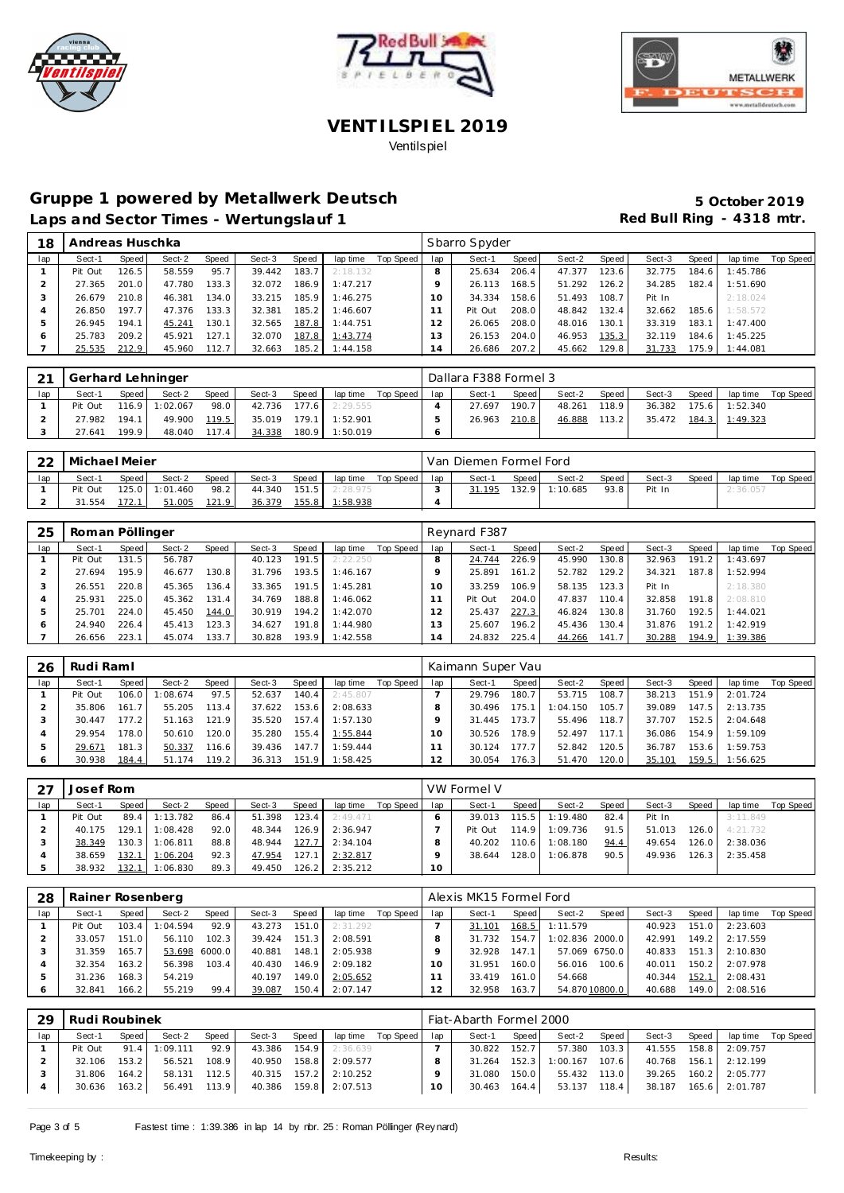





## Gruppe 1 powered by Metallwerk Deutsch **1988 5 October 2019** Laps and Sector Times - Wertungslauf 1 **Example 20 and Sector Times - Wertungslauf 1 Red Bull Ring - 4318 mtr.**

| 18  | Andreas Huschka |       |        |       |        |       |          |           |                | Sbarro Spyder |       |        |       |        |       |          |           |
|-----|-----------------|-------|--------|-------|--------|-------|----------|-----------|----------------|---------------|-------|--------|-------|--------|-------|----------|-----------|
| lap | Sect-1          | Speed | Sect-2 | Speed | Sect-3 | Speed | lap time | Top Speed | lap            | Sect-1        | Speed | Sect-2 | Speed | Sect-3 | Speed | lap time | Top Speed |
|     | Pit Out         | 126.5 | 58.559 | 95.7  | 39.442 | 183.7 | 2:18.132 |           | 8              | 25.634        | 206.4 | 47.377 | 123.6 | 32.775 | 184.6 | 1:45.786 |           |
|     | 27.365          | 201.0 | 47.780 | 33.3  | 32.072 | 186.9 | 1:47.217 |           |                | 26.113        | 168.5 | 51.292 | 126.2 | 34.285 | 182.4 | 1:51.690 |           |
|     | 26.679          | 210.8 | 46.381 | 34.0  | 33.215 | 185.9 | 1:46.275 |           | 10             | 34.334        | 158.6 | 51.493 | 108.7 | Pit In |       | 2:18.024 |           |
| 4   | 26.850          | 197.7 | 47.376 | 133.3 | 32.381 | 185.2 | 1:46.607 |           |                | Pit Out       | 208.0 | 48.842 | 132.4 | 32.662 | 185.6 | 1:58.572 |           |
|     | 26.945          | 194.1 | 45.241 | 130.1 | 32.565 | 187.8 | 1:44.751 |           |                | 26.065        | 208.0 | 48.016 | 130.1 | 33.319 | 183.1 | 1:47.400 |           |
| Ô   | 25.783          | 209.2 | 45.921 | 127.1 | 32.070 | 187.8 | 1:43.774 |           | 3              | 26.153        | 204.0 | 46.953 | 135.3 | 32.119 | 184.6 | 1:45.225 |           |
|     | 25.535          | 212.9 | 45.960 | 112.7 | 32.663 | 185.2 | 1:44.158 |           | $\overline{4}$ | 26.686        | 207.2 | 45.662 | 129.8 | 31.733 | 175.9 | 1:44.081 |           |

| $\mathcal{D}$ 1 |         |       | Gerhard Lehninger |       |        |       |                       |           |     | Dallara F388 Formel 3 |       |        |         |        |       |                |           |
|-----------------|---------|-------|-------------------|-------|--------|-------|-----------------------|-----------|-----|-----------------------|-------|--------|---------|--------|-------|----------------|-----------|
| lap             | Sect-1  | Speed | Sect-2            | Speed | Sect-3 | Speed | lap time              | Top Speed | lap | Sect-1                | Speed | Sect-2 | Speed   | Sect-3 | Speed | lap time       | Top Speed |
|                 | Pit Out | 116.9 | 1:02.067          | 98.0  |        |       | 42.736 177.6 2:29.555 |           |     | 27.697                | 190.7 | 48.261 | 118.9   | 36.382 | 175.6 | 1:52.340       |           |
|                 | 27.982  | 194.1 | 49.900            | 119.5 | 35.019 |       | 179.1 1:52.901        |           |     | 26.963                | 210.8 | 46.888 | $113.2$ | 35.472 |       | 184.3 1:49.323 |           |
|                 | 27.641  | 199.9 | 48.040            | 117.4 | 34.338 | 180.9 | 1:50.019              |           |     |                       |       |        |         |        |       |                |           |

| ററ  | Michael Meier |                |                |       |        |       |                 |           |     | Van Diemen Formel Ford |         |          |       |        |       |          |           |
|-----|---------------|----------------|----------------|-------|--------|-------|-----------------|-----------|-----|------------------------|---------|----------|-------|--------|-------|----------|-----------|
| lap | Sect-1        | Speed          | Sect-2         | Speed | Sect-3 | Speed | lap time        | Top Speed | lap | Sect-1                 | Speed I | Sect-2   | Speed | Sect-3 | Speed | lap time | Top Speed |
|     | Pit Out       |                | 125.0 1:01.460 | 98.2  | 44.340 | 151.5 | 2:28.975        |           |     | 31.195                 | 132.9   | 1:10.685 | 93.8  | Pit In |       | 2:36.057 |           |
|     | 31.554        | <u> 172.1 </u> | 51.005         | 121.9 | 36.379 | 155.8 | <u>1:58.938</u> |           |     |                        |         |          |       |        |       |          |           |

| 25  | Roman Pöllinger |       |        |        |        |       |          |           |     | Reynard F387 |       |        |       |        |       |          |           |
|-----|-----------------|-------|--------|--------|--------|-------|----------|-----------|-----|--------------|-------|--------|-------|--------|-------|----------|-----------|
| lap | Sect-1          | Speed | Sect-2 | Speed  | Sect-3 | Speed | lap time | Top Speed | lap | Sect-1       | Speed | Sect-2 | Speed | Sect-3 | Speed | lap time | Top Speed |
|     | Pit Out         | 131.5 | 56.787 |        | 40.123 | 191.5 | 2:22.250 |           |     | 24.744       | 226.9 | 45.990 | 130.8 | 32.963 | 191.2 | 1:43.697 |           |
|     | 27.694          | 195.9 | 46.677 | 130.8  | 31.796 | 193.5 | 1:46.167 |           |     | 25.891       | 161.2 | 52.782 | 129.2 | 34.321 | 187.8 | 1:52.994 |           |
|     | 26.551          | 220.8 | 45.365 | 136.4  | 33.365 | 191.5 | 1:45.281 |           |     | 33.259       | 106.9 | 58.135 | 123.3 | Pit In |       | 2:18.380 |           |
| 4   | 25.931          | 225.0 | 45.362 | 131.4. | 34.769 | 188.8 | 1:46.062 |           |     | Pit Out      | 204.0 | 47.837 | 110.4 | 32.858 | 191.8 | 2:08.810 |           |
| ь   | 25.701          | 224.0 | 45.450 | 144.0  | 30.919 | 194.2 | 1:42.070 |           |     | 25.437       | 227.3 | 46.824 | 130.8 | 31.760 | 192.5 | 1:44.021 |           |
| O   | 24.940          | 226.4 | 45.413 | 123.3  | 34.627 | 191.8 | 1:44.980 |           | 3   | 25.607       | 196.2 | 45.436 | 130.4 | 31.876 | 191.2 | 1:42.919 |           |
|     | 26.656          | 223.1 | 45.074 | 133.7  | 30.828 | 193.9 | 1:42.558 |           | 14  | 24.832       | 225.4 | 44.266 | 141.7 | 30.288 | 194.9 | 1:39.386 |           |

| 26  | Rudi Raml |       |          |       |        |        |          |           |     | Kaimann Super Vau |       |          |       |        |       |          |           |
|-----|-----------|-------|----------|-------|--------|--------|----------|-----------|-----|-------------------|-------|----------|-------|--------|-------|----------|-----------|
| lap | Sect-1    | Speed | Sect-2   | Speed | Sect-3 | Speed  | lap time | Top Speed | lap | Sect-1            | Speed | Sect-2   | Speed | Sect-3 | Speed | lap time | Top Speed |
|     | Pit Out   | 106.0 | 1:08.674 | 97.5  | 52.637 | 140.4  | 2:45.807 |           |     | 29.796            | 180.7 | 53.715   | 108.7 | 38.213 | 151.9 | 2:01.724 |           |
|     | 35.806    | 161.7 | 55.205   | 113.4 | 37.622 | 153.6  | 2:08.633 |           |     | 30.496            | 175.1 | 1:04.150 | 105.7 | 39.089 | 147.5 | 2:13.735 |           |
|     | 30.447    | 177.2 | 51.163   | 121.9 | 35.520 | 157.41 | 1:57.130 |           |     | 31.445            | 173.7 | 55.496   | 118.7 | 37.707 | 152.5 | 2:04.648 |           |
|     | 29.954    | 178.0 | 50.610   | 120.0 | 35.280 | 155.4  | 1:55.844 |           |     | 30.526            | 178.9 | 52.497   | 117.1 | 36.086 | 154.9 | 1:59.109 |           |
|     | 29.671    | 181.3 | 50.337   | 116.6 | 39.436 | 147.7  | 1:59.444 |           |     | 30.124            | 177.7 | 52.842   | 120.5 | 36.787 | 153.6 | 1:59.753 |           |
|     | 30.938    | 184.4 | 51.174   | 119.2 | 36.313 | 151.9  | 1:58.425 |           | 2   | 30.054            | 176.3 | 51.470   | 120.0 | 35.101 | 159.5 | 1:56.625 |           |

|     | Josef Rom |         |                  |       |        |       |          |           |                 | VW Formel V |         |                |       |        |       |                  |           |
|-----|-----------|---------|------------------|-------|--------|-------|----------|-----------|-----------------|-------------|---------|----------------|-------|--------|-------|------------------|-----------|
| lap | Sect-1    | Speed I | Sect-2           | Speed | Sect-3 | Speed | lap time | Top Speed | lap             | Sect-1      | Speed I | Sect-2         | Speed | Sect-3 | Speed | lap time         | Top Speed |
|     | Pit Out   |         | 89.4 1:13.782    | 86.4  | 51.398 | 123.4 | 2:49.471 |           |                 | 39.013      |         | 115.5 1:19.480 | 82.4  | Pit In |       | 3:11.849         |           |
|     | 40.175    |         | $129.1$ 1:08.428 | 92.0  | 48.344 | 126.9 | 2:36.947 |           |                 | Pit Out     | 114.9   | 1:09.736       | 91.5  | 51.013 |       | $126.0$ 4:21.732 |           |
|     | 38.349    |         | 130.3 1:06.811   | 88.8  | 48.944 | 127.7 | 2:34.104 |           |                 | 40.202      | 110.6   | 1:08.180       | 94.4  | 49.654 | 126.0 | 2:38.036         |           |
|     | 38.659    |         | 132.1 1:06.204   | 92.3  | 47.954 | 127.1 | 2:32.817 |           |                 | 38.644      | 128.0   | 1:06.878       | 90.5  | 49.936 |       | $126.3$ 2:35.458 |           |
|     | 38.932    |         | $132.1$ 1:06.830 | 89.3  | 49.450 | 126.2 | 2:35.212 |           | 10 <sup>1</sup> |             |         |                |       |        |       |                  |           |

| 28  | Rainer Rosenberg |       |         |               |        |       |          |           |            | Alexis MK15 Formel Ford |                    |                   |        |       |          |           |
|-----|------------------|-------|---------|---------------|--------|-------|----------|-----------|------------|-------------------------|--------------------|-------------------|--------|-------|----------|-----------|
| lap | Sect-1           | Speed | Sect-2  | Speed         | Sect-3 | Speed | lap time | Top Speed | lap        | Sect-1                  | Speed              | Sect-2<br>Speed   | Sect-3 | Speed | lap time | Top Speed |
|     | Pit Out          | 103.4 | :04.594 | 92.9          | 43.273 | 151.0 | 2:31.292 |           |            | 31.101                  | 168.5              | 1:11.579          | 40.923 | 151.0 | 2:23.603 |           |
|     | 33.057           | 151.0 | 56.110  | 102.3         | 39.424 | 151.3 | 2:08.591 |           |            | 31.732                  | 154.7              | $1:02.836$ 2000.0 | 42.991 | 149.2 | 2:17.559 |           |
|     | 31.359           | 165.7 |         | 53.698 6000.0 | 40.881 | 148.1 | 2:05.938 |           |            | 32.928                  | 147.1 <sub>1</sub> | 57.069 6750.0     | 40.833 | 151.3 | 2:10.830 |           |
|     | 32.354           | 163.2 | 56.398  | 103.4         | 40.430 | 146.9 | 2:09.182 |           |            | 31.951                  | 160.0              | 100.6<br>56.016   | 40.011 | 150.2 | 2:07.978 |           |
| ь   | 31.236           | 168.3 | 54.219  |               | 40.197 | 149.0 | 2:05.652 |           |            | 33.419                  | 161.0              | 54.668            | 40.344 | 152.1 | 2:08.431 |           |
|     | 32.841           | 166.2 | 55.219  | 99.4          | 39.087 | 150.4 | 2:07.147 |           | $\bigcirc$ | 32.958                  | 163.7              | 54.870 10800.0    | 40.688 | 149.0 | 2:08.516 |           |

| -29 | Rudi Roubinek |         |                 |       |              |       |          |           |     | Fiat-Abarth Formel 2000 |       |              |       |        |       |                       |                    |
|-----|---------------|---------|-----------------|-------|--------------|-------|----------|-----------|-----|-------------------------|-------|--------------|-------|--------|-------|-----------------------|--------------------|
| lap | Sect-1        | Speed   | Sect-2          | Speed | Sect-3       | Speed | lap time | Top Speed | lap | Sect-1                  | Speed | Sect-2       | Speed | Sect-3 | Speed |                       | lap time Top Speed |
|     | Pit Out       |         | $91.4$ 1:09.111 | 92.9  | 43.386       | 154.9 | 2:36.639 |           |     | 30.822                  | 152.7 | 57.380       | 103.3 | 41.555 |       | 158.8 2:09.757        |                    |
|     | 32.106        | 153.2   | 56.521          | 108.9 | 40.950       | 158.8 | 2:09.577 |           |     | 31.264                  | 152.3 | 1:00.167     | 107.6 |        |       | 40.768 156.1 2:12.199 |                    |
|     | 31.806        | 164.2   | 58.131          | 112.5 | 40.315 157.2 |       | 2:10.252 |           |     | 31.080                  | 150.0 | 55.432 113.0 |       | 39.265 |       | 160.2 2:05.777        |                    |
|     | 30.636        | $163.2$ | 56.491          | 113.9 | 40.386 159.8 |       | 2:07.513 |           |     | 30.463                  | 164.4 | 53.137       | 118.4 | 38.187 |       | 165.6 2:01.787        |                    |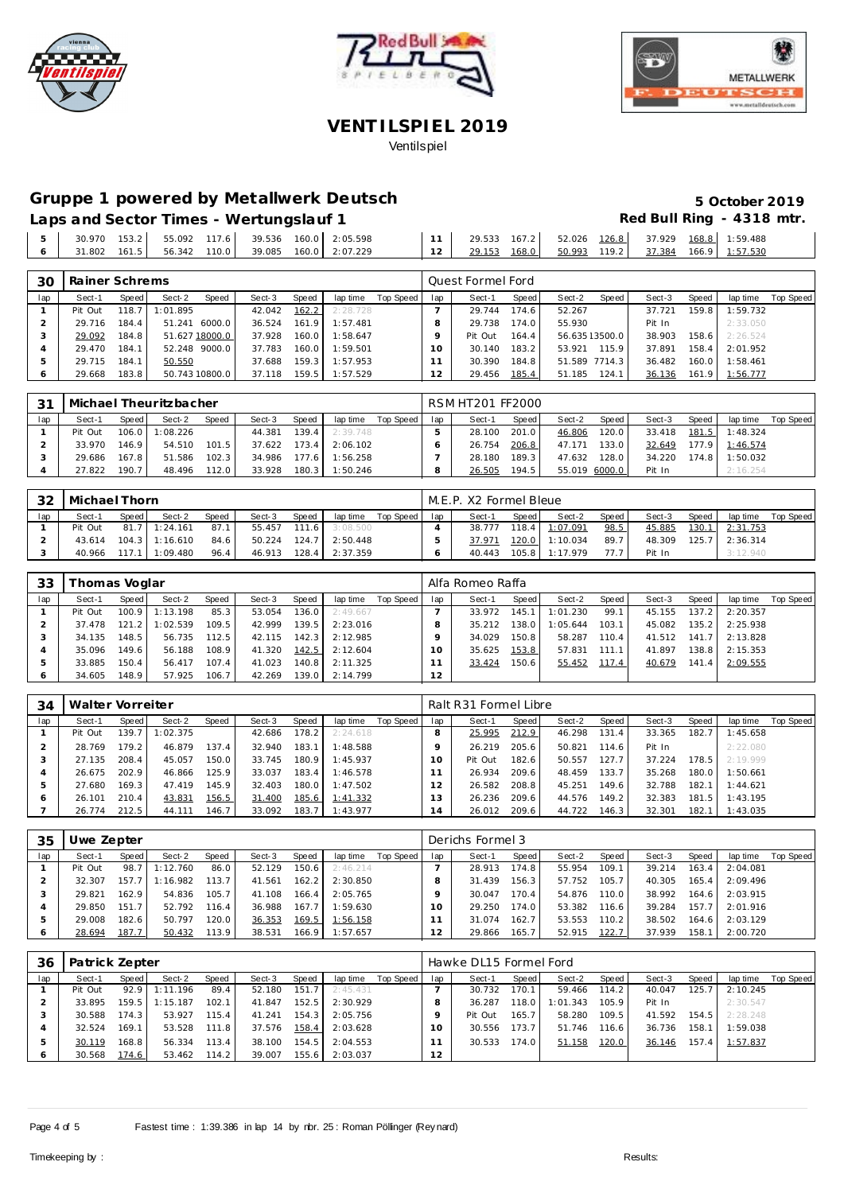





# Gruppe 1 powered by Metallwerk Deutsch **1989 1 Section 1 American Beam 1 American** B October 2019

# Red Bull Ring - 4318 mtr.

| Laps and Sector Times - Wertungslauf 1 |  |
|----------------------------------------|--|
|----------------------------------------|--|

| 2:07.229<br>57.530<br>110.0<br>168.0<br>50.993<br>119.2<br>161.5<br>160.0<br>39.085<br>31.802<br>56.342<br>7.384<br>$166.9$ | 1522<br>30.970 | I5 N92 | 117.6<br>$160.0 -$<br>39.536 | 2:05.598 | . 522<br>29.933 | 167.2 | 52.026 | 126.8 | 7.929 | 168.8 | : 59.488 |
|-----------------------------------------------------------------------------------------------------------------------------|----------------|--------|------------------------------|----------|-----------------|-------|--------|-------|-------|-------|----------|
|                                                                                                                             |                |        |                              |          |                 |       |        |       |       |       |          |

| 30  | Rainer Schrems |       |          |                |        |       |          |             |     | Quest Formel Ford |       |               |       |        |       |          |           |
|-----|----------------|-------|----------|----------------|--------|-------|----------|-------------|-----|-------------------|-------|---------------|-------|--------|-------|----------|-----------|
| lap | Sect-1         | Speed | Sect-2   | Speed          | Sect-3 | Speed | lap time | Top Speed I | lap | Sect-1            | Speed | Sect-2        | Speed | Sect-3 | Speed | lap time | Top Speed |
|     | Pit Out        | 118.7 | 1:01.895 |                | 42.042 | 162.2 | 2:28.728 |             |     | 29.744            | 174.6 | 52.267        |       | 37.721 | 159.8 | 1:59.732 |           |
|     | 29.716         | 184.4 | 51.241   | 6000.0         | 36.524 | 161.9 | 1:57.481 |             |     | 29.738            | 174.0 | 55.930        |       | Pit In |       | 2:33.050 |           |
|     | 29.092         | 184.8 |          | 51.627 18000.0 | 37.928 | 160.0 | 1:58.647 |             |     | Pit Out           | 164.4 | 56.63513500.0 |       | 38.903 | 158.6 | 2:26.524 |           |
|     | 29.470         | 184.1 |          | 52.248 9000.0  | 37.783 | 160.0 | 1:59.501 |             | 10  | 30.140            | 183.2 | 53.921        | 115.9 | 37.891 | 158.4 | 2:01.952 |           |
| -5  | 29.715         | 184.1 | 50.550   |                | 37.688 | 159.3 | 1:57.953 |             |     | 30.390            | 184.8 | 51.589 7714.3 |       | 36.482 | 160.0 | 1:58.461 |           |
| O   | 29.668         | 183.8 |          | 50.743 10800.0 | 37.118 | 159.5 | 1:57.529 |             | 12  | 29.456            | 185.4 | 51.185        | 124.1 | 36.136 | 161.9 | 1:56.777 |           |

| -31 |         |       | Michael Theuritzbacher |       |        |       |          |           |     | RSM HT201 FF2000 |       |               |         |        |                    |          |           |
|-----|---------|-------|------------------------|-------|--------|-------|----------|-----------|-----|------------------|-------|---------------|---------|--------|--------------------|----------|-----------|
| lap | Sect-1  | Speed | Sect-2                 | Speed | Sect-3 | Speed | lap time | Top Speed | lan | Sect-1           | Speed | Sect-2        | Speed   | Sect-3 | Speed              | lap time | Top Speed |
|     | Pit Out | 106.0 | 1:08.226               |       | 44.381 | 139.4 | 2:39.748 |           |     | 28.100           | 201.0 | 46.806        | 120.0 l | 33.418 | 181.5              | 1:48.324 |           |
|     | 33.970  | 146.9 | 54.510                 | 101.5 | 37.622 | 173.4 | 2:06.102 |           |     | 26.754           | 206.8 | 47.171        | 133.0   | 32.649 | 177.9 <sup>1</sup> | 1:46.574 |           |
|     | 29.686  | 167.8 | 51.586                 | 102.3 | 34.986 | 177.6 | 1:56.258 |           |     | 28.180           | 189.3 | 47.632        | 128.0   | 34.220 | 174.8              | 1:50.032 |           |
|     | 27.822  | 190.7 | 48.496                 | 112.0 | 33.928 | 180.3 | 1:50.246 |           |     | 26.505           | 194.5 | 55.019 6000.0 |         | Pit In |                    | 2:16.254 |           |

| -32 | Michael Thorn |       |                  |       |        |       |          |           |     | M.E.P. X2 Formel Bleue |       |          |       |        |       |          |           |
|-----|---------------|-------|------------------|-------|--------|-------|----------|-----------|-----|------------------------|-------|----------|-------|--------|-------|----------|-----------|
| lap | Sect-1        | Speed | Sect-2           | Speed | Sect-3 | Speed | lap time | Top Speed | lap | Sect-1                 | Speed | Sect-2   | Speed | Sect-3 | Speed | lap time | Top Speed |
|     | Pit Out       |       | $81.7$ 1:24.161  | 87.1  | 55.457 | 111.6 | 3:08.500 |           |     | 38.777                 | 118.4 | 1:07.091 | 98.5  | 45.885 | 130.1 | 2:31.753 |           |
|     | 43.614        |       | $104.3$ 1:16.610 | 84.6  | 50.224 | 124.7 | 2:50.448 |           |     | 37.971                 | 120.0 | 1:10.034 | 89.7  | 48.309 | 125.7 | 2:36.314 |           |
|     | 40.966        |       | : 09.480         | 96.4  | 46.913 | 128.4 | 2:37.359 |           |     | 40.443                 | 105.8 | 1:17.979 |       | Pit In |       | 3:12.940 |           |

| 33  |         | homas Voglar |          |       |        |       |          |           |     | Alfa Romeo Raffa |       |          |       |        |       |          |           |
|-----|---------|--------------|----------|-------|--------|-------|----------|-----------|-----|------------------|-------|----------|-------|--------|-------|----------|-----------|
| lap | Sect-1  | Speed        | Sect-2   | Speed | Sect-3 | Speed | lap time | Top Speed | lap | Sect-1           | Speed | Sect-2   | Speed | Sect-3 | Speed | lap time | Top Speed |
|     | Pit Out | 100.9        | 1:13.198 | 85.3  | 53.054 | 136.0 | 2:49.667 |           |     | 33.972           | 145.1 | 1:01.230 | 99.1  | 45.155 | 137.2 | 2:20.357 |           |
|     | 37.478  | 121.2        | 1:02.539 | 109.5 | 42.999 | 139.5 | 2:23.016 |           |     | 35.212           | 138.0 | 1:05.644 | 103.1 | 45.082 | 135.2 | 2:25.938 |           |
|     | 34.135  | 48.5         | 56.735   | 112.5 | 42.115 | 142.3 | 2:12.985 |           |     | 34.029           | 150.8 | 58.287   | 110.4 | 41.512 | 141.7 | 2:13.828 |           |
|     | 35.096  | 149.6        | 56.188   | 108.9 | 41.320 | 142.5 | 2:12.604 |           | Ω   | 35.625           | 153.8 | 57.831   | 111.1 | 41.897 | 138.8 | 2:15.353 |           |
|     | 33.885  | 150.4        | 56.417   | 107.4 | 41.023 | 140.8 | 2:11.325 |           |     | 33.424           | 150.6 | 55.452   | 117.4 | 40.679 | 141.4 | 2:09.555 |           |
| 6   | 34.605  | 48.9         | 57.925   | 106.7 | 42.269 | 139.0 | 2:14.799 |           | 12  |                  |       |          |       |        |       |          |           |

| 34  | Walter Vorreiter |       |          |       |        |       |          |           |     | Ralt R31 Formel Libre |       |        |       |        |       |          |           |
|-----|------------------|-------|----------|-------|--------|-------|----------|-----------|-----|-----------------------|-------|--------|-------|--------|-------|----------|-----------|
| lap | Sect-1           | Speed | Sect-2   | Speed | Sect-3 | Speed | lap time | Top Speed | lap | Sect-1                | Speed | Sect-2 | Speed | Sect-3 | Speed | lap time | Top Speed |
|     | Pit Out          | 139.7 | 1:02.375 |       | 42.686 | 178.2 | 2:24.618 |           |     | 25.995                | 212.9 | 46.298 | 131.4 | 33.365 | 182.7 | 1:45.658 |           |
|     | 28.769           | 179.2 | 46.879   | 137.4 | 32.940 | 183.1 | 1:48.588 |           |     | 26.219                | 205.6 | 50.821 | 114.6 | Pit In |       | 2:22.080 |           |
|     | 27.135           | 208.4 | 45.057   | 150.0 | 33.745 | 180.9 | 1:45.937 |           |     | Pit Out               | 182.6 | 50.557 | 127.7 | 37.224 | 178.5 | 2:19.999 |           |
|     | 26.675           | 202.9 | 46.866   | 125.9 | 33.037 | 183.4 | 1:46.578 |           |     | 26.934                | 209.6 | 48.459 | 133.7 | 35.268 | 180.0 | 1:50.661 |           |
|     | 27.680           | 169.3 | 47.419   | 145.9 | 32.403 | 180.0 | 1:47.502 |           |     | 26.582                | 208.8 | 45.251 | 149.6 | 32.788 | 182.1 | 1:44.621 |           |
| c   | 26.101           | 210.4 | 43.831   | 156.5 | 31.400 | 185.6 | 1:41.332 |           | 3   | 26.236                | 209.6 | 44.576 | 149.2 | 32.383 | 181.5 | 1:43.195 |           |
|     | 26.774           | 212.5 | 44.111   | 146.7 | 33.092 | 183.7 | 1:43.977 |           | 14  | 26.012                | 209.6 | 44.722 | 146.3 | 32.301 | 182.1 | 1:43.035 |           |

| 35  | Uwe Zepter |        |          |       |        |       |          |           |     | Derichs Formel 3 |       |        |       |        |       |          |           |
|-----|------------|--------|----------|-------|--------|-------|----------|-----------|-----|------------------|-------|--------|-------|--------|-------|----------|-----------|
| lap | Sect-1     | Speed  | Sect-2   | Speed | Sect-3 | Speed | lap time | Top Speed | lap | Sect-1           | Speed | Sect-2 | Speed | Sect-3 | Speed | lap time | Top Speed |
|     | Pit Out    | 98.7   | 1:12.760 | 86.0  | 52.129 | 150.6 | 2:46.214 |           |     | 28.913           | 174.8 | 55.954 | 109.1 | 39.214 | 163.4 | 2:04.081 |           |
|     | 32.307     | 157.7  | 1:16.982 | 113.7 | 41.561 | 162.2 | 2:30.850 |           |     | 31.439           | 156.3 | 57.752 | 105.7 | 40.305 | 165.4 | 2:09.496 |           |
|     | 29.821     | 162.9  | 54.836   | 105.7 | 41.108 | 166.4 | 2:05.765 |           |     | 30.047           | 170.4 | 54.876 | 110.0 | 38.992 | 164.6 | 2:03.915 |           |
|     | 29.850     | 151.71 | 52.792   | 116.4 | 36.988 | 167.7 | 1:59.630 |           | 10  | 29.250           | 174.0 | 53.382 | 116.6 | 39.284 | 157.7 | 2:01.916 |           |
|     | 29.008     | 182.6  | 50.797   | 120.0 | 36.353 | 169.5 | 1:56.158 |           |     | 31.074           | 162.7 | 53.553 | 110.2 | 38.502 | 164.6 | 2:03.129 |           |
|     | 28.694     | 187.7  | 50.432   | 113.9 | 38.531 | 166.9 | 1:57.657 |           | 12  | 29.866           | 165.7 | 52.915 | 122.7 | 37.939 | 158.1 | 2:00.720 |           |

| 36  | Patrick Zepter |       |          |       |        |        |          |           |     | Hawke DL15 Formel Ford |        |          |       |        |       |          |           |
|-----|----------------|-------|----------|-------|--------|--------|----------|-----------|-----|------------------------|--------|----------|-------|--------|-------|----------|-----------|
| lap | Sect-1         | Speed | Sect-2   | Speed | Sect-3 | Speed  | lap time | Top Speed | lap | Sect-1                 | Speed  | Sect-2   | Speed | Sect-3 | Speed | lap time | Top Speed |
|     | Pit Out        | 92.9  | 1:11.196 | 89.4  | 52.180 | 151.7  | 2:45.431 |           |     | 30.732                 | 170.1  | 59.466   | 114.2 | 40.047 | 125.7 | 2:10.245 |           |
|     | 33.895         | 159.5 | 1:15.187 | 102.1 | 41.847 | 152.5  | 2:30.929 |           |     | 36.287                 | 118.0  | 1:01.343 | 105.9 | Pit In |       | 2:30.547 |           |
|     | 30.588         | 174.3 | 53.927   | 115.4 | 41.241 | 154.3  | 2:05.756 |           |     | Pit Out                | 165.71 | 58.280   | 109.5 | 41.592 | 154.5 | 2:28.248 |           |
|     | 32.524         | 169.1 | 53.528   | 111.8 | 37.576 | 158.4  | 2:03.628 |           | 1 O | 30.556                 | 173.7  | 51.746   | 116.6 | 36.736 | 158.1 | 1:59.038 |           |
|     | 30.119         | 168.8 | 56.334   | 113.4 | 38.100 | 154.5  | 2:04.553 |           |     | 30.533                 | 174.0  | 51.158   | 120.0 | 36.146 | 157.4 | 1:57.837 |           |
| O   | 30.568         | 174.6 | 53.462   | 114.2 | 39.007 | 155.61 | 2:03.037 |           | 12  |                        |        |          |       |        |       |          |           |